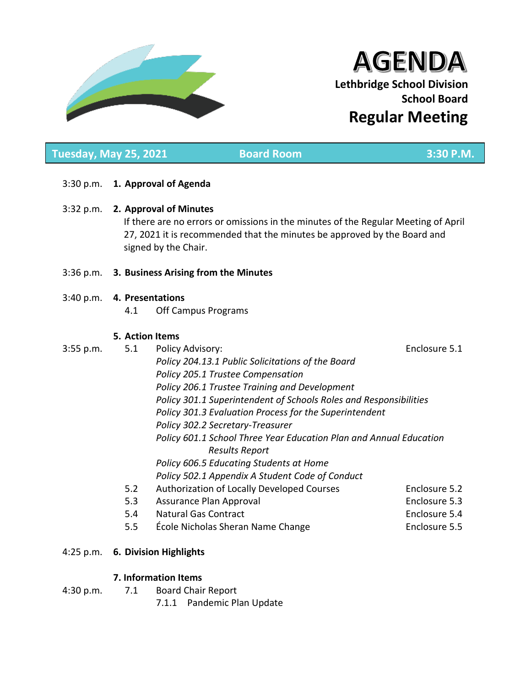

# **AGENDA Lethbridge School Division School Board Regular Meeting**

# 3:30 p.m. **1. Approval of Agenda** 3:32 p.m. **2. Approval of Minutes** If there are no errors or omissions in the minutes of the Regular Meeting of April 27, 2021 it is recommended that the minutes be approved by the Board and signed by the Chair. 3:36 p.m. **3. Business Arising from the Minutes** 3:40 p.m. **4. Presentations** 4.1 Off Campus Programs **5. Action Items** 3:55 p.m. 5.1 Policy Advisory: Enclosure 5.1 *Policy 204.13.1 Public Solicitations of the Board Policy 205.1 Trustee Compensation Policy 206.1 Trustee Training and Development Policy 301.1 Superintendent of Schools Roles and Responsibilities Policy 301.3 Evaluation Process for the Superintendent Policy 302.2 Secretary-Treasurer Policy 601.1 School Three Year Education Plan and Annual Education Results Report Policy 606.5 Educating Students at Home Policy 502.1 Appendix A Student Code of Conduct* 5.2 Authorization of Locally Developed Courses Enclosure 5.2 5.3 Assurance Plan Approval Enclosure 5.3 5.4 Natural Gas Contract Enclosure 5.4 5.5 **Example 2.5** Enclosure 5.5 **Enclosure 5.5** Enclosure 5.5 **Tuesday, May 25, 2021 Board Room 3:30 P.M.**

# 4:25 p.m. **6. Division Highlights**

# **7. Information Items**

- 4:30 p.m. 7.1 Board Chair Report
	- 7.1.1 Pandemic Plan Update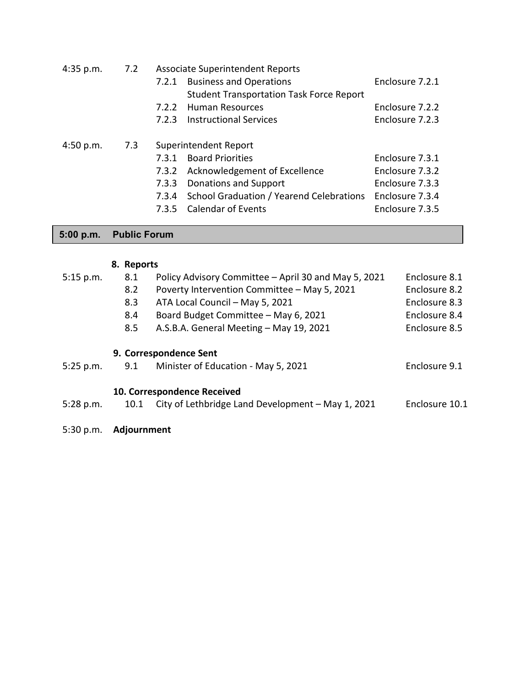| 4:35 p.m. | 7.2 | <b>Associate Superintendent Reports</b> |                                                 |                 |  |
|-----------|-----|-----------------------------------------|-------------------------------------------------|-----------------|--|
|           |     | 7.2.1                                   | <b>Business and Operations</b>                  | Enclosure 7.2.1 |  |
|           |     |                                         | <b>Student Transportation Task Force Report</b> |                 |  |
|           |     | 7.2.2                                   | <b>Human Resources</b>                          | Enclosure 7.2.2 |  |
|           |     | 7.2.3                                   | <b>Instructional Services</b>                   | Enclosure 7.2.3 |  |
| 4:50 p.m. |     | 7.3                                     | Superintendent Report                           |                 |  |
|           |     | 7.3.1                                   | <b>Board Priorities</b>                         | Enclosure 7.3.1 |  |
|           |     | 7.3.2                                   | Acknowledgement of Excellence                   | Enclosure 7.3.2 |  |
|           |     | 7.3.3                                   | Donations and Support                           | Enclosure 7.3.3 |  |
|           |     | 7.3.4                                   | School Graduation / Yearend Celebrations        | Enclosure 7.3.4 |  |
|           |     | 7.3.5                                   | <b>Calendar of Events</b>                       | Enclosure 7.3.5 |  |
|           |     |                                         |                                                 |                 |  |

# **5:00 p.m. Public Forum**

# **8. Reports**

| 5:15 p.m.   | 8.1  | Policy Advisory Committee - April 30 and May 5, 2021 | Enclosure 8.1  |  |
|-------------|------|------------------------------------------------------|----------------|--|
|             | 8.2  | Poverty Intervention Committee - May 5, 2021         | Enclosure 8.2  |  |
|             | 8.3  | ATA Local Council - May 5, 2021                      | Enclosure 8.3  |  |
|             | 8.4  | Board Budget Committee - May 6, 2021                 | Enclosure 8.4  |  |
|             | 8.5  | A.S.B.A. General Meeting - May 19, 2021              | Enclosure 8.5  |  |
|             |      | 9. Correspondence Sent                               |                |  |
| 5:25 p.m.   | 9.1  | Minister of Education - May 5, 2021                  | Enclosure 9.1  |  |
|             |      | 10. Correspondence Received                          |                |  |
| $5:28$ p.m. | 10.1 | City of Lethbridge Land Development - May 1, 2021    | Enclosure 10.1 |  |
|             |      |                                                      |                |  |

5:30 p.m. **Adjournment**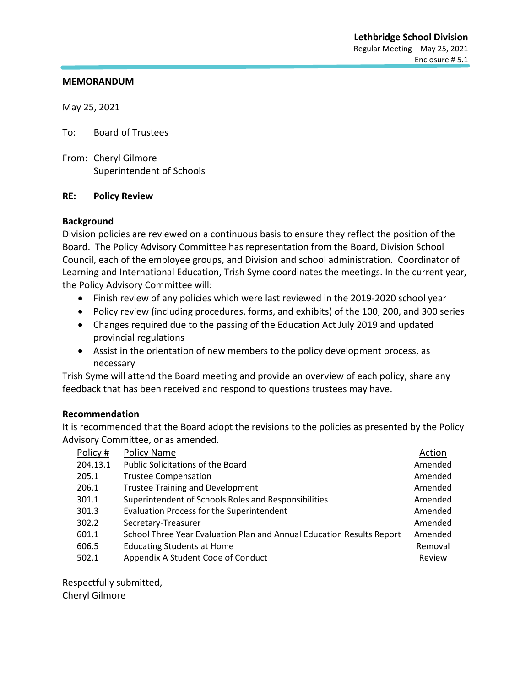May 25, 2021

To: Board of Trustees

From: Cheryl Gilmore Superintendent of Schools

#### **RE: Policy Review**

#### **Background**

Division policies are reviewed on a continuous basis to ensure they reflect the position of the Board. The Policy Advisory Committee has representation from the Board, Division School Council, each of the employee groups, and Division and school administration. Coordinator of Learning and International Education, Trish Syme coordinates the meetings. In the current year, the Policy Advisory Committee will:

- Finish review of any policies which were last reviewed in the 2019-2020 school year
- Policy review (including procedures, forms, and exhibits) of the 100, 200, and 300 series
- Changes required due to the passing of the Education Act July 2019 and updated provincial regulations
- Assist in the orientation of new members to the policy development process, as necessary

Trish Syme will attend the Board meeting and provide an overview of each policy, share any feedback that has been received and respond to questions trustees may have.

#### **Recommendation**

It is recommended that the Board adopt the revisions to the policies as presented by the Policy Advisory Committee, or as amended.

| Policy # | <b>Policy Name</b>                                                    | Action  |
|----------|-----------------------------------------------------------------------|---------|
| 204.13.1 | <b>Public Solicitations of the Board</b>                              | Amended |
| 205.1    | <b>Trustee Compensation</b>                                           | Amended |
| 206.1    | <b>Trustee Training and Development</b>                               | Amended |
| 301.1    | Superintendent of Schools Roles and Responsibilities                  | Amended |
| 301.3    | <b>Evaluation Process for the Superintendent</b>                      | Amended |
| 302.2    | Secretary-Treasurer                                                   | Amended |
| 601.1    | School Three Year Evaluation Plan and Annual Education Results Report | Amended |
| 606.5    | <b>Educating Students at Home</b>                                     | Removal |
| 502.1    | Appendix A Student Code of Conduct                                    | Review  |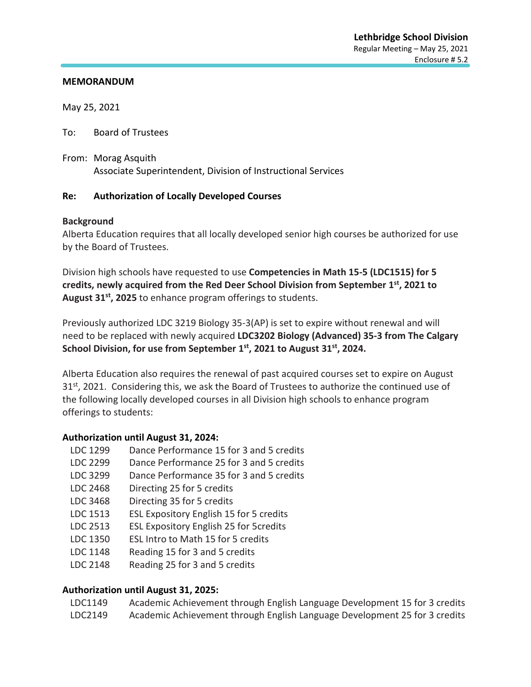May 25, 2021

To: Board of Trustees

From: Morag Asquith Associate Superintendent, Division of Instructional Services

#### **Re: Authorization of Locally Developed Courses**

#### **Background**

Alberta Education requires that all locally developed senior high courses be authorized for use by the Board of Trustees.

Division high schools have requested to use **Competencies in Math 15-5 (LDC1515) for 5 credits, newly acquired from the Red Deer School Division from September 1st, 2021 to August 31st, 2025** to enhance program offerings to students.

Previously authorized LDC 3219 Biology 35-3(AP) is set to expire without renewal and will need to be replaced with newly acquired **LDC3202 Biology (Advanced) 35-3 from The Calgary School Division, for use from September 1st, 2021 to August 31st, 2024.**

Alberta Education also requires the renewal of past acquired courses set to expire on August  $31<sup>st</sup>$ , 2021. Considering this, we ask the Board of Trustees to authorize the continued use of the following locally developed courses in all Division high schools to enhance program offerings to students:

#### **Authorization until August 31, 2024:**

- LDC 1299 Dance Performance 15 for 3 and 5 credits
- LDC 2299 Dance Performance 25 for 3 and 5 credits
- LDC 3299 Dance Performance 35 for 3 and 5 credits
- LDC 2468 Directing 25 for 5 credits
- LDC 3468 Directing 35 for 5 credits
- LDC 1513 ESL Expository English 15 for 5 credits
- LDC 2513 ESL Expository English 25 for 5credits
- LDC 1350 ESL Intro to Math 15 for 5 credits
- LDC 1148 Reading 15 for 3 and 5 credits
- LDC 2148 Reading 25 for 3 and 5 credits

#### **Authorization until August 31, 2025:**

LDC1149 Academic Achievement through English Language Development 15 for 3 credits LDC2149 Academic Achievement through English Language Development 25 for 3 credits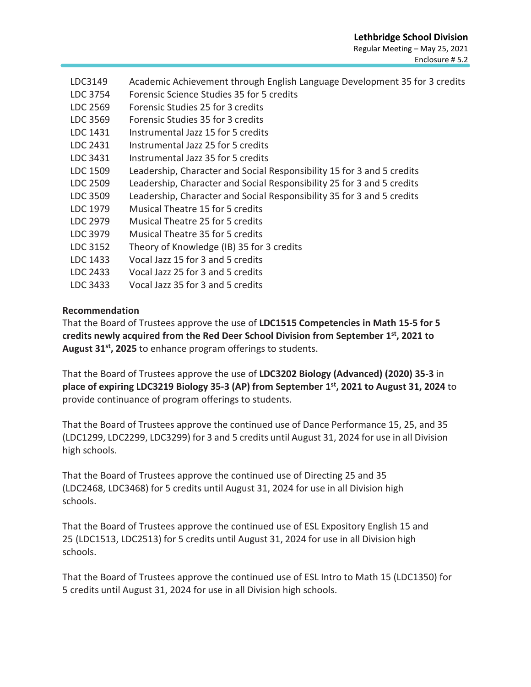- LDC3149 Academic Achievement through English Language Development 35 for 3 credits
- LDC 3754 Forensic Science Studies 35 for 5 credits
- LDC 2569 Forensic Studies 25 for 3 credits
- LDC 3569 Forensic Studies 35 for 3 credits
- LDC 1431 Instrumental Jazz 15 for 5 credits
- LDC 2431 Instrumental Jazz 25 for 5 credits
- LDC 3431 Instrumental Jazz 35 for 5 credits
- LDC 1509 Leadership, Character and Social Responsibility 15 for 3 and 5 credits
- LDC 2509 Leadership, Character and Social Responsibility 25 for 3 and 5 credits
- LDC 3509 Leadership, Character and Social Responsibility 35 for 3 and 5 credits
- LDC 1979 Musical Theatre 15 for 5 credits
- LDC 2979 Musical Theatre 25 for 5 credits
- LDC 3979 Musical Theatre 35 for 5 credits
- LDC 3152 Theory of Knowledge (IB) 35 for 3 credits
- LDC 1433 Vocal Jazz 15 for 3 and 5 credits
- LDC 2433 Vocal Jazz 25 for 3 and 5 credits
- LDC 3433 Vocal Jazz 35 for 3 and 5 credits

#### **Recommendation**

That the Board of Trustees approve the use of **LDC1515 Competencies in Math 15-5 for 5 credits newly acquired from the Red Deer School Division from September 1st, 2021 to August 31st, 2025** to enhance program offerings to students.

That the Board of Trustees approve the use of **LDC3202 Biology (Advanced) (2020) 35-3** in **place of expiring LDC3219 Biology 35-3 (AP) from September 1st, 2021 to August 31, 2024** to provide continuance of program offerings to students.

That the Board of Trustees approve the continued use of Dance Performance 15, 25, and 35 (LDC1299, LDC2299, LDC3299) for 3 and 5 credits until August 31, 2024 for use in all Division high schools.

That the Board of Trustees approve the continued use of Directing 25 and 35 (LDC2468, LDC3468) for 5 credits until August 31, 2024 for use in all Division high schools.

That the Board of Trustees approve the continued use of ESL Expository English 15 and 25 (LDC1513, LDC2513) for 5 credits until August 31, 2024 for use in all Division high schools.

That the Board of Trustees approve the continued use of ESL Intro to Math 15 (LDC1350) for 5 credits until August 31, 2024 for use in all Division high schools.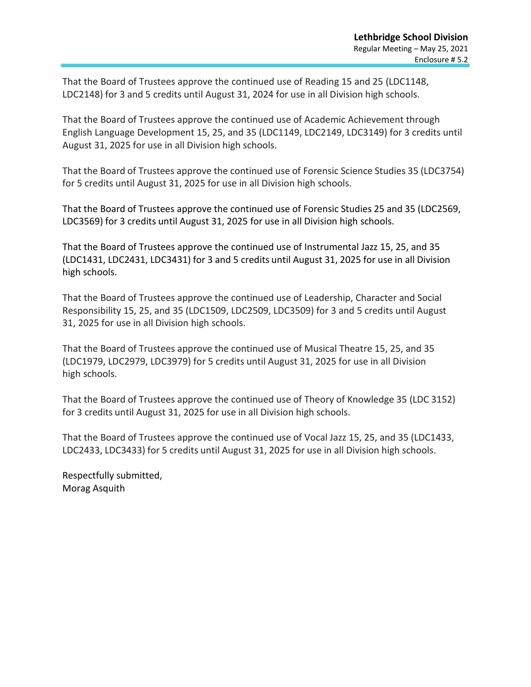That the Board of Trustees approve the continued use of Reading 15 and 25 (LDC1148, LDC2148) for 3 and 5 credits until August 31, 2024 for use in all Division high schools.

That the Board of Trustees approve the continued use of Academic Achievement through English Language Development 15, 25, and 35 (LDC1149, LDC2149, LDC3149) for 3 credits until August 31, 2025 for use in all Division high schools.

That the Board of Trustees approve the continued use of Forensic Science Studies 35 (LDC3754) for 5 credits until August 31, 2025 for use in all Division high schools.

That the Board of Trustees approve the continued use of Forensic Studies 25 and 35 (LDC2569, LDC3569) for 3 credits until August 31, 2025 for use in all Division high schools.

That the Board of Trustees approve the continued use of Instrumental Jazz 15, 25, and 35 (LDC1431, LDC2431, LDC3431) for 3 and 5 credits until August 31, 2025 for use in all Division high schools.

That the Board of Trustees approve the continued use of Leadership, Character and Social Responsibility 15, 25, and 35 (LDC1509, LDC2509, LDC3509) for 3 and 5 credits until August 31, 2025 for use in all Division high schools.

That the Board of Trustees approve the continued use of Musical Theatre 15, 25, and 35 (LDC1979, LDC2979, LDC3979) for 5 credits until August 31, 2025 for use in all Division high schools.

That the Board of Trustees approve the continued use of Theory of Knowledge 35 (LDC 3152) for 3 credits until August 31, 2025 for use in all Division high schools.

That the Board of Trustees approve the continued use of Vocal Jazz 15, 25, and 35 (LDC1433, LDC2433, LDC3433) for 5 credits until August 31, 2025 for use in all Division high schools.

Respectfully submitted, Morag Asquith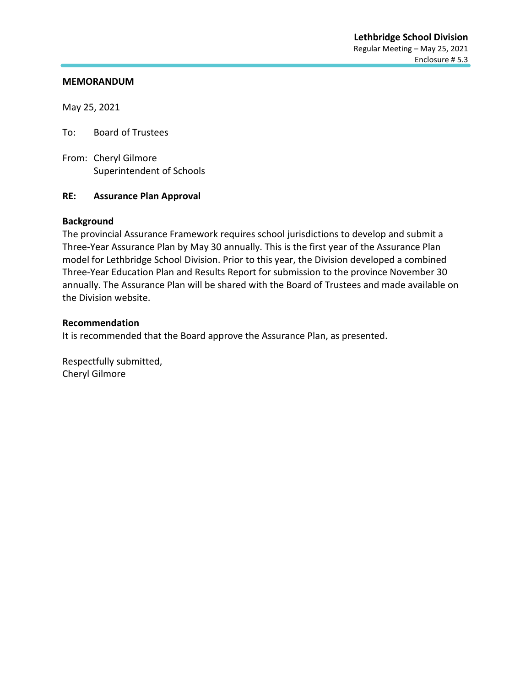May 25, 2021

To: Board of Trustees

From: Cheryl Gilmore Superintendent of Schools

#### **RE: Assurance Plan Approval**

#### **Background**

The provincial Assurance Framework requires school jurisdictions to develop and submit a Three-Year Assurance Plan by May 30 annually. This is the first year of the Assurance Plan model for Lethbridge School Division. Prior to this year, the Division developed a combined Three-Year Education Plan and Results Report for submission to the province November 30 annually. The Assurance Plan will be shared with the Board of Trustees and made available on the Division website.

#### **Recommendation**

It is recommended that the Board approve the Assurance Plan, as presented.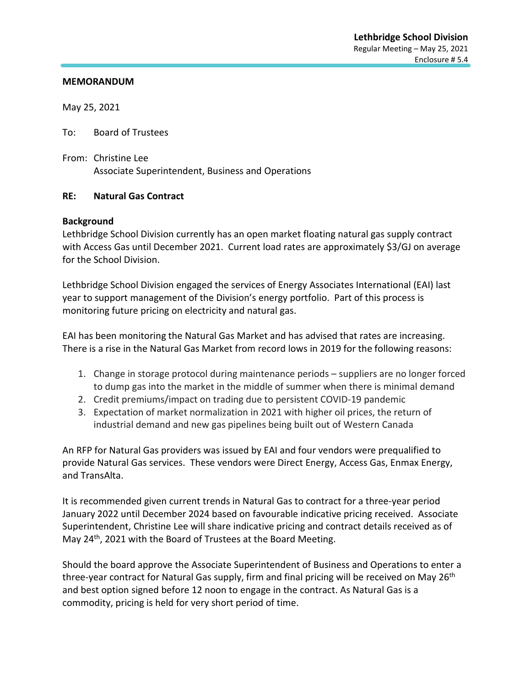May 25, 2021

To: Board of Trustees

From: Christine Lee Associate Superintendent, Business and Operations

#### **RE: Natural Gas Contract**

#### **Background**

Lethbridge School Division currently has an open market floating natural gas supply contract with Access Gas until December 2021. Current load rates are approximately \$3/GJ on average for the School Division.

Lethbridge School Division engaged the services of Energy Associates International (EAI) last year to support management of the Division's energy portfolio. Part of this process is monitoring future pricing on electricity and natural gas.

EAI has been monitoring the Natural Gas Market and has advised that rates are increasing. There is a rise in the Natural Gas Market from record lows in 2019 for the following reasons:

- 1. Change in storage protocol during maintenance periods suppliers are no longer forced to dump gas into the market in the middle of summer when there is minimal demand
- 2. Credit premiums/impact on trading due to persistent COVID-19 pandemic
- 3. Expectation of market normalization in 2021 with higher oil prices, the return of industrial demand and new gas pipelines being built out of Western Canada

An RFP for Natural Gas providers was issued by EAI and four vendors were prequalified to provide Natural Gas services. These vendors were Direct Energy, Access Gas, Enmax Energy, and TransAlta.

It is recommended given current trends in Natural Gas to contract for a three-year period January 2022 until December 2024 based on favourable indicative pricing received. Associate Superintendent, Christine Lee will share indicative pricing and contract details received as of May 24<sup>th</sup>, 2021 with the Board of Trustees at the Board Meeting.

Should the board approve the Associate Superintendent of Business and Operations to enter a three-year contract for Natural Gas supply, firm and final pricing will be received on May 26<sup>th</sup> and best option signed before 12 noon to engage in the contract. As Natural Gas is a commodity, pricing is held for very short period of time.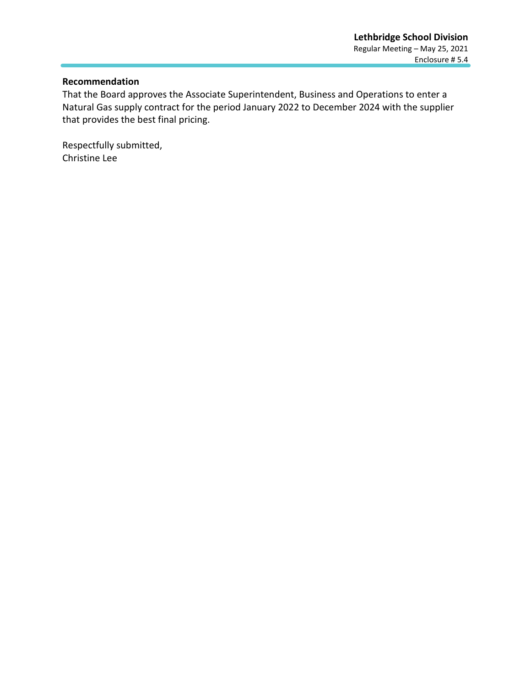#### **Recommendation**

That the Board approves the Associate Superintendent, Business and Operations to enter a Natural Gas supply contract for the period January 2022 to December 2024 with the supplier that provides the best final pricing.

Respectfully submitted, Christine Lee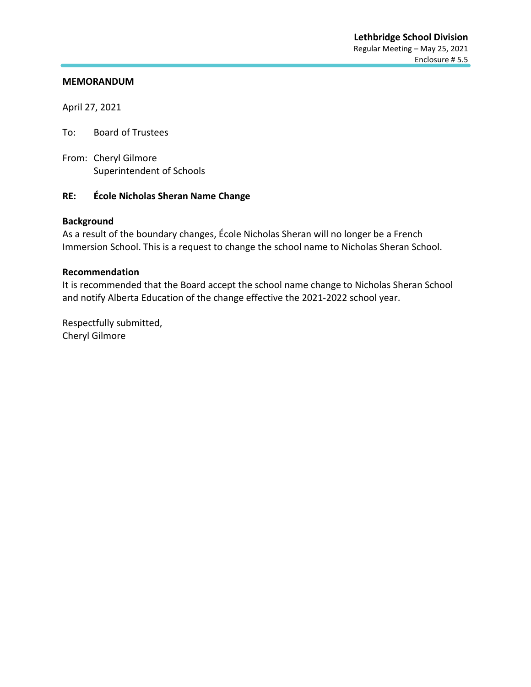April 27, 2021

To: Board of Trustees

From: Cheryl Gilmore Superintendent of Schools

#### **RE: École Nicholas Sheran Name Change**

#### **Background**

As a result of the boundary changes, École Nicholas Sheran will no longer be a French Immersion School. This is a request to change the school name to Nicholas Sheran School.

#### **Recommendation**

It is recommended that the Board accept the school name change to Nicholas Sheran School and notify Alberta Education of the change effective the 2021-2022 school year.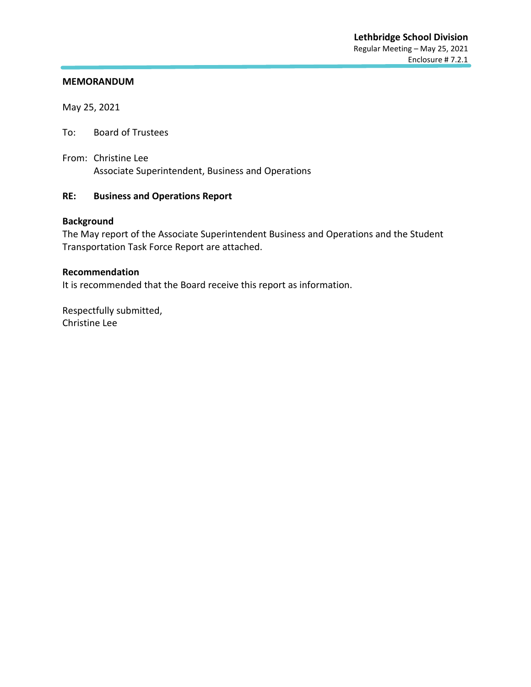May 25, 2021

To: Board of Trustees

From: Christine Lee Associate Superintendent, Business and Operations

# **RE: Business and Operations Report**

## **Background**

The May report of the Associate Superintendent Business and Operations and the Student Transportation Task Force Report are attached.

#### **Recommendation**

It is recommended that the Board receive this report as information.

Respectfully submitted, Christine Lee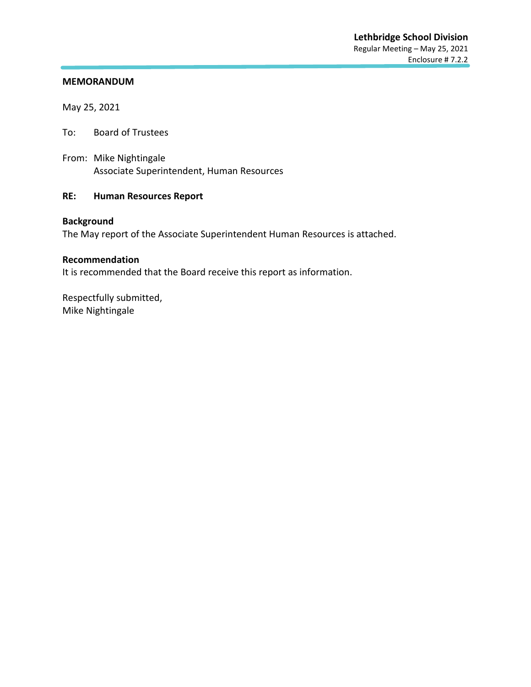May 25, 2021

To: Board of Trustees

From: Mike Nightingale Associate Superintendent, Human Resources

## **RE: Human Resources Report**

## **Background**

The May report of the Associate Superintendent Human Resources is attached.

#### **Recommendation**

It is recommended that the Board receive this report as information.

Respectfully submitted, Mike Nightingale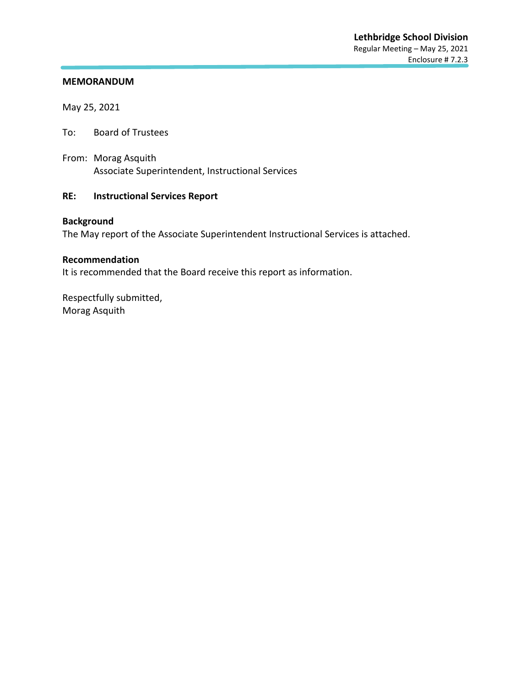May 25, 2021

To: Board of Trustees

From: Morag Asquith Associate Superintendent, Instructional Services

## **RE: Instructional Services Report**

## **Background**

The May report of the Associate Superintendent Instructional Services is attached.

#### **Recommendation**

It is recommended that the Board receive this report as information.

Respectfully submitted, Morag Asquith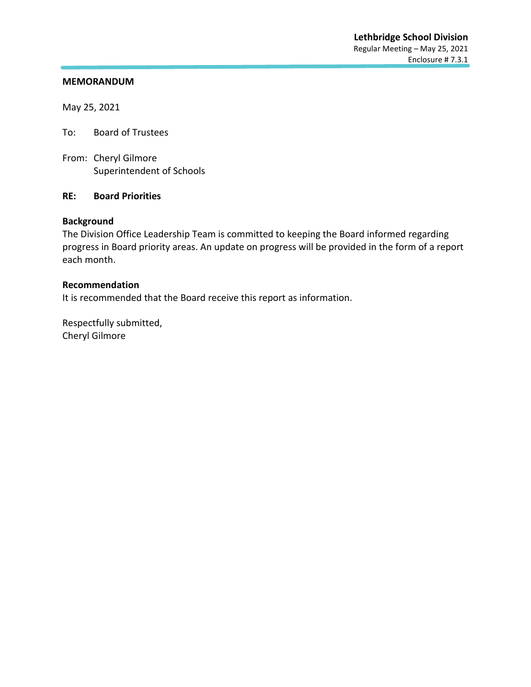May 25, 2021

To: Board of Trustees

From: Cheryl Gilmore Superintendent of Schools

#### **RE: Board Priorities**

#### **Background**

The Division Office Leadership Team is committed to keeping the Board informed regarding progress in Board priority areas. An update on progress will be provided in the form of a report each month.

#### **Recommendation**

It is recommended that the Board receive this report as information.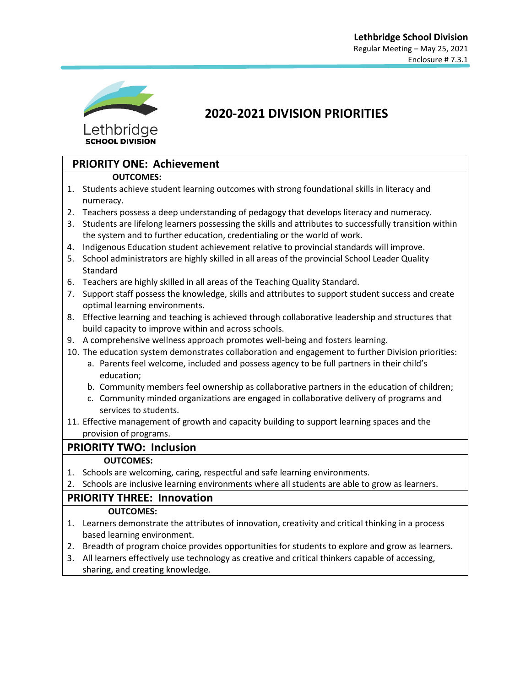

**SCHOOL DIVISION** 

# **2020-2021 DIVISION PRIORITIES**

# **PRIORITY ONE: Achievement**

#### **OUTCOMES:**

- 1. Students achieve student learning outcomes with strong foundational skills in literacy and numeracy.
- 2. Teachers possess a deep understanding of pedagogy that develops literacy and numeracy.
- 3. Students are lifelong learners possessing the skills and attributes to successfully transition within the system and to further education, credentialing or the world of work.
- 4. Indigenous Education student achievement relative to provincial standards will improve.
- 5. School administrators are highly skilled in all areas of the provincial School Leader Quality Standard
- 6. Teachers are highly skilled in all areas of the Teaching Quality Standard.
- 7. Support staff possess the knowledge, skills and attributes to support student success and create optimal learning environments.
- 8. Effective learning and teaching is achieved through collaborative leadership and structures that build capacity to improve within and across schools.
- 9. A comprehensive wellness approach promotes well-being and fosters learning.
- 10. The education system demonstrates collaboration and engagement to further Division priorities:
	- a. Parents feel welcome, included and possess agency to be full partners in their child's education;
	- b. Community members feel ownership as collaborative partners in the education of children;
	- c. Community minded organizations are engaged in collaborative delivery of programs and services to students.
- 11. Effective management of growth and capacity building to support learning spaces and the provision of programs.

# **PRIORITY TWO: Inclusion**

#### **OUTCOMES:**

- 1. Schools are welcoming, caring, respectful and safe learning environments.
- 2. Schools are inclusive learning environments where all students are able to grow as learners.

# **PRIORITY THREE: Innovation**

#### **OUTCOMES:**

- 1. Learners demonstrate the attributes of innovation, creativity and critical thinking in a process based learning environment.
- 2. Breadth of program choice provides opportunities for students to explore and grow as learners.
- 3. All learners effectively use technology as creative and critical thinkers capable of accessing, sharing, and creating knowledge.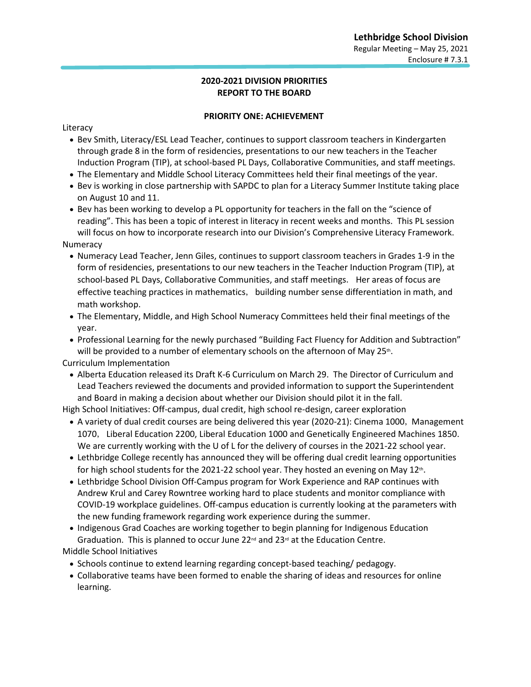#### **2020-2021 DIVISION PRIORITIES REPORT TO THE BOARD**

#### **PRIORITY ONE: ACHIEVEMENT**

Literacy

- Bev Smith, Literacy/ESL Lead Teacher, continues to support classroom teachers in Kindergarten through grade 8 in the form of residencies, presentations to our new teachers in the Teacher Induction Program (TIP), at school-based PL Days, Collaborative Communities, and staff meetings.
- The Elementary and Middle School Literacy Committees held their final meetings of the year.
- Bev is working in close partnership with SAPDC to plan for a Literacy Summer Institute taking place on August 10 and 11.
- Bev has been working to develop a PL opportunity for teachers in the fall on the "science of reading". This has been a topic of interest in literacy in recent weeks and months. This PL session will focus on how to incorporate research into our Division's Comprehensive Literacy Framework. Numeracy
	- Numeracy Lead Teacher, Jenn Giles, continues to support classroom teachers in Grades 1-9 in the form of residencies, presentations to our new teachers in the Teacher Induction Program (TIP), at school-based PL Days, Collaborative Communities, and staff meetings. Her areas of focus are effective teaching practices in mathematics, building number sense differentiation in math, and math workshop.
	- The Elementary, Middle, and High School Numeracy Committees held their final meetings of the year.

• Professional Learning for the newly purchased "Building Fact Fluency for Addition and Subtraction" will be provided to a number of elementary schools on the afternoon of May 25<sup>th</sup>.

Curriculum Implementation

• Alberta Education released its Draft K-6 Curriculum on March 29. The Director of Curriculum and Lead Teachers reviewed the documents and provided information to support the Superintendent and Board in making a decision about whether our Division should pilot it in the fall.

High School Initiatives: Off-campus, dual credit, high school re-design, career exploration

- A variety of dual credit courses are being delivered this year (2020-21): Cinema 1000, Management 1070, Liberal Education 2200, Liberal Education 1000 and Genetically Engineered Machines 1850. We are currently working with the U of L for the delivery of courses in the 2021-22 school year.
- Lethbridge College recently has announced they will be offering dual credit learning opportunities for high school students for the 2021-22 school year. They hosted an evening on May  $12<sup>th</sup>$ .
- Lethbridge School Division Off-Campus program for Work Experience and RAP continues with Andrew Krul and Carey Rowntree working hard to place students and monitor compliance with COVID-19 workplace guidelines. Off-campus education is currently looking at the parameters with the new funding framework regarding work experience during the summer.
- Indigenous Grad Coaches are working together to begin planning for Indigenous Education Graduation. This is planned to occur June 22<sup>nd</sup> and 23<sup>rd</sup> at the Education Centre. Middle School Initiatives
	- Schools continue to extend learning regarding concept-based teaching/ pedagogy.
	- Collaborative teams have been formed to enable the sharing of ideas and resources for online learning.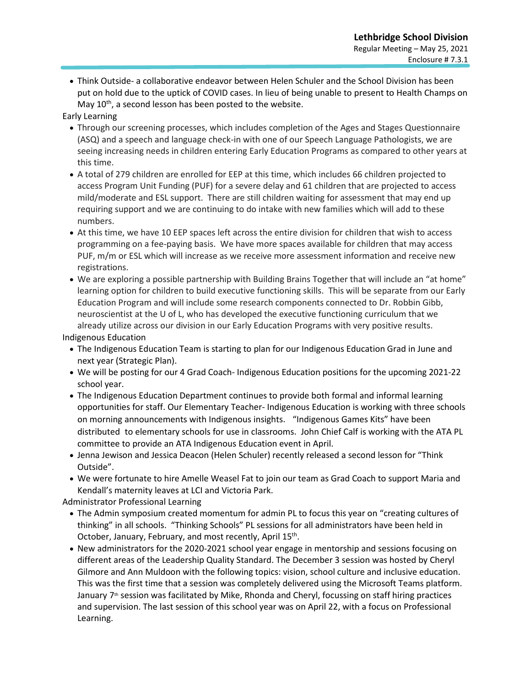• Think Outside- a collaborative endeavor between Helen Schuler and the School Division has been put on hold due to the uptick of COVID cases. In lieu of being unable to present to Health Champs on May  $10^{th}$ , a second lesson has been posted to the website.

Early Learning

- Through our screening processes, which includes completion of the Ages and Stages Questionnaire (ASQ) and a speech and language check-in with one of our Speech Language Pathologists, we are seeing increasing needs in children entering Early Education Programs as compared to other years at this time.
- A total of 279 children are enrolled for EEP at this time, which includes 66 children projected to access Program Unit Funding (PUF) for a severe delay and 61 children that are projected to access mild/moderate and ESL support. There are still children waiting for assessment that may end up requiring support and we are continuing to do intake with new families which will add to these numbers.
- At this time, we have 10 EEP spaces left across the entire division for children that wish to access programming on a fee-paying basis. We have more spaces available for children that may access PUF, m/m or ESL which will increase as we receive more assessment information and receive new registrations.
- We are exploring a possible partnership with Building Brains Together that will include an "at home" learning option for children to build executive functioning skills. This will be separate from our Early Education Program and will include some research components connected to Dr. Robbin Gibb, neuroscientist at the U of L, who has developed the executive functioning curriculum that we already utilize across our division in our Early Education Programs with very positive results.

Indigenous Education

- The Indigenous Education Team is starting to plan for our Indigenous Education Grad in June and next year (Strategic Plan).
- We will be posting for our 4 Grad Coach- Indigenous Education positions for the upcoming 2021-22 school year.
- The Indigenous Education Department continues to provide both formal and informal learning opportunities for staff. Our Elementary Teacher- Indigenous Education is working with three schools on morning announcements with Indigenous insights. "Indigenous Games Kits" have been distributed to elementary schools for use in classrooms. John Chief Calf is working with the ATA PL committee to provide an ATA Indigenous Education event in April.
- Jenna Jewison and Jessica Deacon (Helen Schuler) recently released a second lesson for "Think Outside".
- We were fortunate to hire Amelle Weasel Fat to join our team as Grad Coach to support Maria and Kendall's maternity leaves at LCI and Victoria Park.

Administrator Professional Learning

- The Admin symposium created momentum for admin PL to focus this year on "creating cultures of thinking" in all schools. "Thinking Schools" PL sessions for all administrators have been held in October, January, February, and most recently, April 15<sup>th</sup>.
- New administrators for the 2020-2021 school year engage in mentorship and sessions focusing on different areas of the Leadership Quality Standard. The December 3 session was hosted by Cheryl Gilmore and Ann Muldoon with the following topics: vision, school culture and inclusive education. This was the first time that a session was completely delivered using the Microsoft Teams platform. January  $7<sup>th</sup>$  session was facilitated by Mike, Rhonda and Cheryl, focussing on staff hiring practices and supervision. The last session of this school year was on April 22, with a focus on Professional Learning.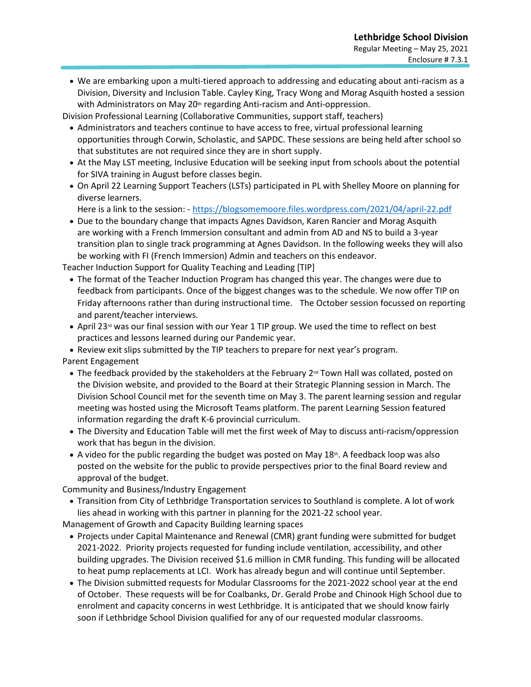• We are embarking upon a multi-tiered approach to addressing and educating about anti-racism as a Division, Diversity and Inclusion Table. Cayley King, Tracy Wong and Morag Asquith hosted a session with Administrators on May 20<sup>th</sup> regarding Anti-racism and Anti-oppression.

Division Professional Learning (Collaborative Communities, support staff, teachers)

- Administrators and teachers continue to have access to free, virtual professional learning opportunities through Corwin, Scholastic, and SAPDC. These sessions are being held after school so that substitutes are not required since they are in short supply.
- At the May LST meeting, Inclusive Education will be seeking input from schools about the potential for SIVA training in August before classes begin.
- On April 22 Learning Support Teachers (LSTs) participated in PL with Shelley Moore on planning for diverse learners.

Here is a link to the session: - <https://blogsomemoore.files.wordpress.com/2021/04/april-22.pdf>

• Due to the boundary change that impacts Agnes Davidson, Karen Rancier and Morag Asquith are working with a French Immersion consultant and admin from AD and NS to build a 3-year transition plan to single track programming at Agnes Davidson. In the following weeks they will also be working with FI (French Immersion) Admin and teachers on this endeavor.

Teacher Induction Support for Quality Teaching and Leading [TIP]

- The format of the Teacher Induction Program has changed this year. The changes were due to feedback from participants. Once of the biggest changes was to the schedule. We now offer TIP on Friday afternoons rather than during instructional time. The October session focussed on reporting and parent/teacher interviews.
- April 23<sup>rd</sup> was our final session with our Year 1 TIP group. We used the time to reflect on best practices and lessons learned during our Pandemic year.

• Review exit slips submitted by the TIP teachers to prepare for next year's program.

Parent Engagement

- The feedback provided by the stakeholders at the February  $2<sup>nd</sup>$  Town Hall was collated, posted on the Division website, and provided to the Board at their Strategic Planning session in March. The Division School Council met for the seventh time on May 3. The parent learning session and regular meeting was hosted using the Microsoft Teams platform. The parent Learning Session featured information regarding the draft K-6 provincial curriculum.
- The Diversity and Education Table will met the first week of May to discuss anti-racism/oppression work that has begun in the division.
- A video for the public regarding the budget was posted on May 18th. A feedback loop was also posted on the website for the public to provide perspectives prior to the final Board review and approval of the budget.

Community and Business/Industry Engagement

• Transition from City of Lethbridge Transportation services to Southland is complete. A lot of work lies ahead in working with this partner in planning for the 2021-22 school year.

Management of Growth and Capacity Building learning spaces

- Projects under Capital Maintenance and Renewal (CMR) grant funding were submitted for budget 2021-2022. Priority projects requested for funding include ventilation, accessibility, and other building upgrades. The Division received \$1.6 million in CMR funding. This funding will be allocated to heat pump replacements at LCI. Work has already begun and will continue until September.
- The Division submitted requests for Modular Classrooms for the 2021-2022 school year at the end of October. These requests will be for Coalbanks, Dr. Gerald Probe and Chinook High School due to enrolment and capacity concerns in west Lethbridge. It is anticipated that we should know fairly soon if Lethbridge School Division qualified for any of our requested modular classrooms.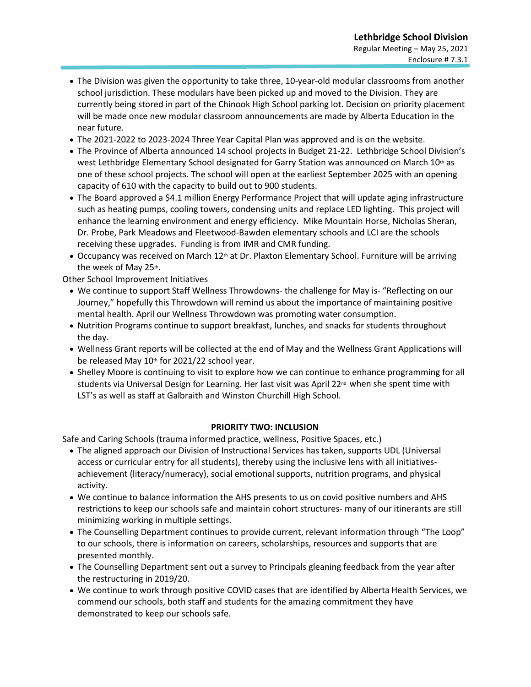- The Division was given the opportunity to take three, 10-year-old modular classrooms from another school jurisdiction. These modulars have been picked up and moved to the Division. They are currently being stored in part of the Chinook High School parking lot. Decision on priority placement will be made once new modular classroom announcements are made by Alberta Education in the near future.
- The 2021-2022 to 2023-2024 Three Year Capital Plan was approved and is on the website.
- The Province of Alberta announced 14 school projects in Budget 21-22. Lethbridge School Division's west Lethbridge Elementary School designated for Garry Station was announced on March 10th as one of these school projects. The school will open at the earliest September 2025 with an opening capacity of 610 with the capacity to build out to 900 students.
- The Board approved a \$4.1 million Energy Performance Project that will update aging infrastructure such as heating pumps, cooling towers, condensing units and replace LED lighting. This project will enhance the learning environment and energy efficiency. Mike Mountain Horse, Nicholas Sheran, Dr. Probe, Park Meadows and Fleetwood-Bawden elementary schools and LCI are the schools receiving these upgrades. Funding is from IMR and CMR funding.
- Occupancy was received on March 12<sup>th</sup> at Dr. Plaxton Elementary School. Furniture will be arriving the week of May 25th.

Other School Improvement Initiatives

- We continue to support Staff Wellness Throwdowns- the challenge for May is- "Reflecting on our Journey," hopefully this Throwdown will remind us about the importance of maintaining positive mental health. April our Wellness Throwdown was promoting water consumption.
- Nutrition Programs continue to support breakfast, lunches, and snacks for students throughout the day.
- Wellness Grant reports will be collected at the end of May and the Wellness Grant Applications will be released May 10<sup>th</sup> for 2021/22 school year.
- Shelley Moore is continuing to visit to explore how we can continue to enhance programming for all students via Universal Design for Learning. Her last visit was April 22<sup>nd</sup> when she spent time with LST's as well as staff at Galbraith and Winston Churchill High School.

#### **PRIORITY TWO: INCLUSION**

Safe and Caring Schools (trauma informed practice, wellness, Positive Spaces, etc.)

- The aligned approach our Division of Instructional Services has taken, supports UDL (Universal access or curricular entry for all students), thereby using the inclusive lens with all initiativesachievement (literacy/numeracy), social emotional supports, nutrition programs, and physical activity.
- We continue to balance information the AHS presents to us on covid positive numbers and AHS restrictions to keep our schools safe and maintain cohort structures- many of our itinerants are still minimizing working in multiple settings.
- The Counselling Department continues to provide current, relevant information through "The Loop" to our schools, there is information on careers, scholarships, resources and supports that are presented monthly.
- The Counselling Department sent out a survey to Principals gleaning feedback from the year after the restructuring in 2019/20.
- We continue to work through positive COVID cases that are identified by Alberta Health Services, we commend our schools, both staff and students for the amazing commitment they have demonstrated to keep our schools safe.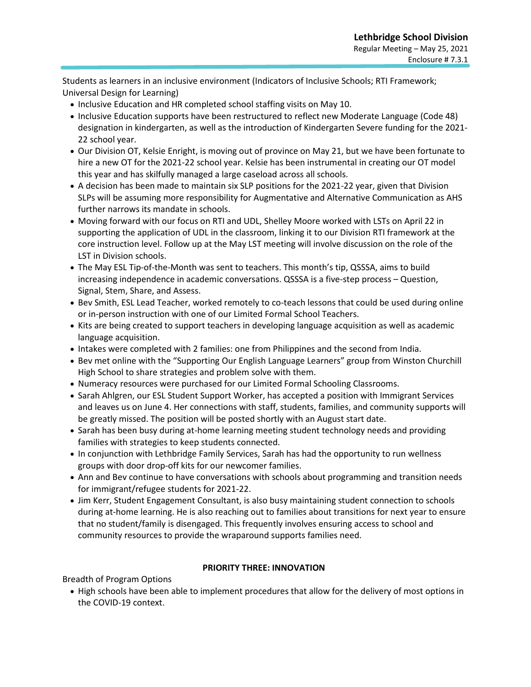Students as learners in an inclusive environment (Indicators of Inclusive Schools; RTI Framework; Universal Design for Learning)

- Inclusive Education and HR completed school staffing visits on May 10.
- Inclusive Education supports have been restructured to reflect new Moderate Language (Code 48) designation in kindergarten, as well as the introduction of Kindergarten Severe funding for the 2021- 22 school year.
- Our Division OT, Kelsie Enright, is moving out of province on May 21, but we have been fortunate to hire a new OT for the 2021-22 school year. Kelsie has been instrumental in creating our OT model this year and has skilfully managed a large caseload across all schools.
- A decision has been made to maintain six SLP positions for the 2021-22 year, given that Division SLPs will be assuming more responsibility for Augmentative and Alternative Communication as AHS further narrows its mandate in schools.
- Moving forward with our focus on RTI and UDL, Shelley Moore worked with LSTs on April 22 in supporting the application of UDL in the classroom, linking it to our Division RTI framework at the core instruction level. Follow up at the May LST meeting will involve discussion on the role of the LST in Division schools.
- The May ESL Tip-of-the-Month was sent to teachers. This month's tip, QSSSA, aims to build increasing independence in academic conversations. QSSSA is a five-step process – Question, Signal, Stem, Share, and Assess.
- Bev Smith, ESL Lead Teacher, worked remotely to co-teach lessons that could be used during online or in-person instruction with one of our Limited Formal School Teachers.
- Kits are being created to support teachers in developing language acquisition as well as academic language acquisition.
- Intakes were completed with 2 families: one from Philippines and the second from India.
- Bev met online with the "Supporting Our English Language Learners" group from Winston Churchill High School to share strategies and problem solve with them.
- Numeracy resources were purchased for our Limited Formal Schooling Classrooms.
- Sarah Ahlgren, our ESL Student Support Worker, has accepted a position with Immigrant Services and leaves us on June 4. Her connections with staff, students, families, and community supports will be greatly missed. The position will be posted shortly with an August start date.
- Sarah has been busy during at-home learning meeting student technology needs and providing families with strategies to keep students connected.
- In conjunction with Lethbridge Family Services, Sarah has had the opportunity to run wellness groups with door drop-off kits for our newcomer families.
- Ann and Bev continue to have conversations with schools about programming and transition needs for immigrant/refugee students for 2021-22.
- Jim Kerr, Student Engagement Consultant, is also busy maintaining student connection to schools during at-home learning. He is also reaching out to families about transitions for next year to ensure that no student/family is disengaged. This frequently involves ensuring access to school and community resources to provide the wraparound supports families need.

#### **PRIORITY THREE: INNOVATION**

Breadth of Program Options

• High schools have been able to implement procedures that allow for the delivery of most options in the COVID-19 context.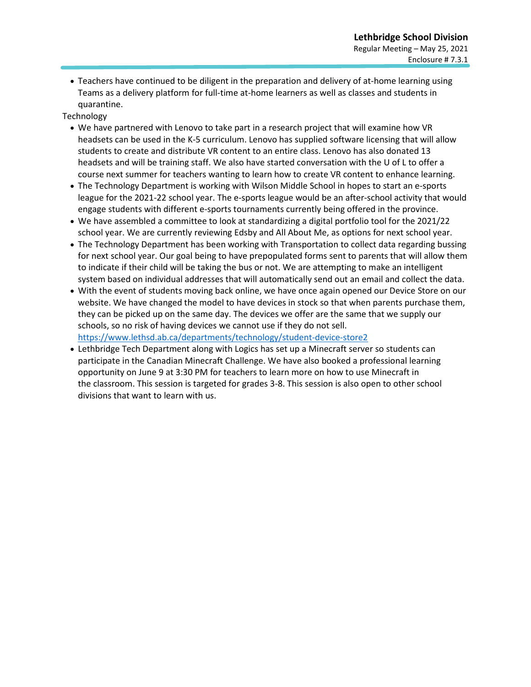• Teachers have continued to be diligent in the preparation and delivery of at-home learning using Teams as a delivery platform for full-time at-home learners as well as classes and students in quarantine.

#### **Technology**

- We have partnered with Lenovo to take part in a research project that will examine how VR headsets can be used in the K-5 curriculum. Lenovo has supplied software licensing that will allow students to create and distribute VR content to an entire class. Lenovo has also donated 13 headsets and will be training staff. We also have started conversation with the U of L to offer a course next summer for teachers wanting to learn how to create VR content to enhance learning.
- The Technology Department is working with Wilson Middle School in hopes to start an e-sports league for the 2021-22 school year. The e-sports league would be an after-school activity that would engage students with different e-sports tournaments currently being offered in the province.
- We have assembled a committee to look at standardizing a digital portfolio tool for the 2021/22 school year. We are currently reviewing Edsby and All About Me, as options for next school year.
- The Technology Department has been working with Transportation to collect data regarding bussing for next school year. Our goal being to have prepopulated forms sent to parents that will allow them to indicate if their child will be taking the bus or not. We are attempting to make an intelligent system based on individual addresses that will automatically send out an email and collect the data.
- With the event of students moving back online, we have once again opened our Device Store on our website. We have changed the model to have devices in stock so that when parents purchase them, they can be picked up on the same day. The devices we offer are the same that we supply our schools, so no risk of having devices we cannot use if they do not sell. <https://www.lethsd.ab.ca/departments/technology/student-device-store2>
- Lethbridge Tech Department along with Logics has set up a Minecraft server so students can participate in the Canadian Minecraft Challenge. We have also booked a professional learning opportunity on June 9 at 3:30 PM for teachers to learn more on how to use Minecraft in the classroom. This session is targeted for grades 3-8. This session is also open to other school divisions that want to learn with us.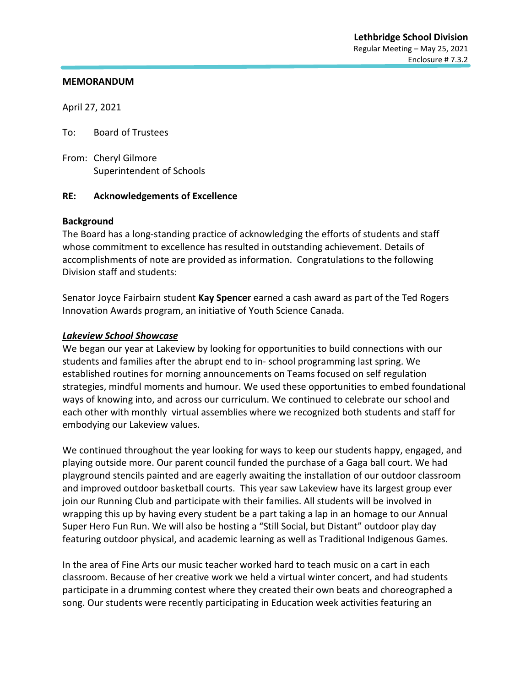April 27, 2021

To: Board of Trustees

From: Cheryl Gilmore Superintendent of Schools

#### **RE: Acknowledgements of Excellence**

#### **Background**

The Board has a long-standing practice of acknowledging the efforts of students and staff whose commitment to excellence has resulted in outstanding achievement. Details of accomplishments of note are provided as information. Congratulations to the following Division staff and students:

Senator Joyce Fairbairn student **Kay Spencer** earned a cash award as part of the Ted Rogers Innovation Awards program, an initiative of Youth Science Canada.

#### *Lakeview School Showcase*

We began our year at Lakeview by looking for opportunities to build connections with our students and families after the abrupt end to in- school programming last spring. We established routines for morning announcements on Teams focused on self regulation strategies, mindful moments and humour. We used these opportunities to embed foundational ways of knowing into, and across our curriculum. We continued to celebrate our school and each other with monthly virtual assemblies where we recognized both students and staff for embodying our Lakeview values.

We continued throughout the year looking for ways to keep our students happy, engaged, and playing outside more. Our parent council funded the purchase of a Gaga ball court. We had playground stencils painted and are eagerly awaiting the installation of our outdoor classroom and improved outdoor basketball courts. This year saw Lakeview have its largest group ever join our Running Club and participate with their families. All students will be involved in wrapping this up by having every student be a part taking a lap in an homage to our Annual Super Hero Fun Run. We will also be hosting a "Still Social, but Distant" outdoor play day featuring outdoor physical, and academic learning as well as Traditional Indigenous Games.

In the area of Fine Arts our music teacher worked hard to teach music on a cart in each classroom. Because of her creative work we held a virtual winter concert, and had students participate in a drumming contest where they created their own beats and choreographed a song. Our students were recently participating in Education week activities featuring an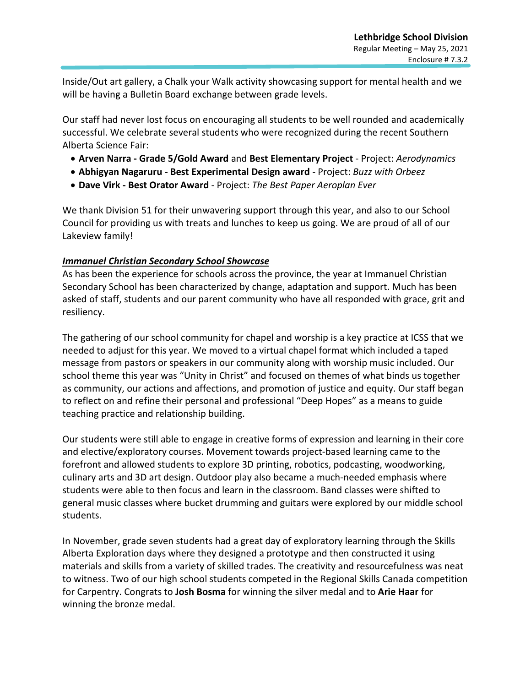Inside/Out art gallery, a Chalk your Walk activity showcasing support for mental health and we will be having a Bulletin Board exchange between grade levels.

Our staff had never lost focus on encouraging all students to be well rounded and academically successful. We celebrate several students who were recognized during the recent Southern Alberta Science Fair:

- **Arven Narra - Grade 5/Gold Award** and **Best Elementary Project** Project: *Aerodynamics*
- **Abhigyan Nagaruru - Best Experimental Design award** Project: *Buzz with Orbeez*
- **Dave Virk - Best Orator Award** Project: *The Best Paper Aeroplan Ever*

We thank Division 51 for their unwavering support through this year, and also to our School Council for providing us with treats and lunches to keep us going. We are proud of all of our Lakeview family!

## *Immanuel Christian Secondary School Showcase*

As has been the experience for schools across the province, the year at Immanuel Christian Secondary School has been characterized by change, adaptation and support. Much has been asked of staff, students and our parent community who have all responded with grace, grit and resiliency.

The gathering of our school community for chapel and worship is a key practice at ICSS that we needed to adjust for this year. We moved to a virtual chapel format which included a taped message from pastors or speakers in our community along with worship music included. Our school theme this year was "Unity in Christ" and focused on themes of what binds us together as community, our actions and affections, and promotion of justice and equity. Our staff began to reflect on and refine their personal and professional "Deep Hopes" as a means to guide teaching practice and relationship building.

Our students were still able to engage in creative forms of expression and learning in their core and elective/exploratory courses. Movement towards project-based learning came to the forefront and allowed students to explore 3D printing, robotics, podcasting, woodworking, culinary arts and 3D art design. Outdoor play also became a much-needed emphasis where students were able to then focus and learn in the classroom. Band classes were shifted to general music classes where bucket drumming and guitars were explored by our middle school students.

In November, grade seven students had a great day of exploratory learning through the Skills Alberta Exploration days where they designed a prototype and then constructed it using materials and skills from a variety of skilled trades. The creativity and resourcefulness was neat to witness. Two of our high school students competed in the Regional Skills Canada competition for Carpentry. Congrats to **Josh Bosma** for winning the silver medal and to **Arie Haar** for winning the bronze medal.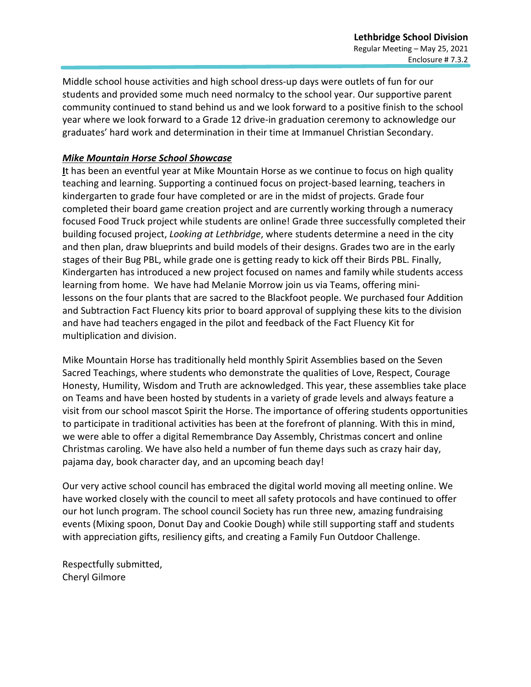Middle school house activities and high school dress-up days were outlets of fun for our students and provided some much need normalcy to the school year. Our supportive parent community continued to stand behind us and we look forward to a positive finish to the school year where we look forward to a Grade 12 drive-in graduation ceremony to acknowledge our graduates' hard work and determination in their time at Immanuel Christian Secondary.

## *Mike Mountain Horse School Showcase*

**I**t has been an eventful year at Mike Mountain Horse as we continue to focus on high quality teaching and learning. Supporting a continued focus on project-based learning, teachers in kindergarten to grade four have completed or are in the midst of projects. Grade four completed their board game creation project and are currently working through a numeracy focused Food Truck project while students are online! Grade three successfully completed their building focused project, *Looking at Lethbridge*, where students determine a need in the city and then plan, draw blueprints and build models of their designs. Grades two are in the early stages of their Bug PBL, while grade one is getting ready to kick off their Birds PBL. Finally, Kindergarten has introduced a new project focused on names and family while students access learning from home. We have had Melanie Morrow join us via Teams, offering minilessons on the four plants that are sacred to the Blackfoot people. We purchased four Addition and Subtraction Fact Fluency kits prior to board approval of supplying these kits to the division and have had teachers engaged in the pilot and feedback of the Fact Fluency Kit for multiplication and division.

Mike Mountain Horse has traditionally held monthly Spirit Assemblies based on the Seven Sacred Teachings, where students who demonstrate the qualities of Love, Respect, Courage Honesty, Humility, Wisdom and Truth are acknowledged. This year, these assemblies take place on Teams and have been hosted by students in a variety of grade levels and always feature a visit from our school mascot Spirit the Horse. The importance of offering students opportunities to participate in traditional activities has been at the forefront of planning. With this in mind, we were able to offer a digital Remembrance Day Assembly, Christmas concert and online Christmas caroling. We have also held a number of fun theme days such as crazy hair day, pajama day, book character day, and an upcoming beach day!

Our very active school council has embraced the digital world moving all meeting online. We have worked closely with the council to meet all safety protocols and have continued to offer our hot lunch program. The school council Society has run three new, amazing fundraising events (Mixing spoon, Donut Day and Cookie Dough) while still supporting staff and students with appreciation gifts, resiliency gifts, and creating a Family Fun Outdoor Challenge.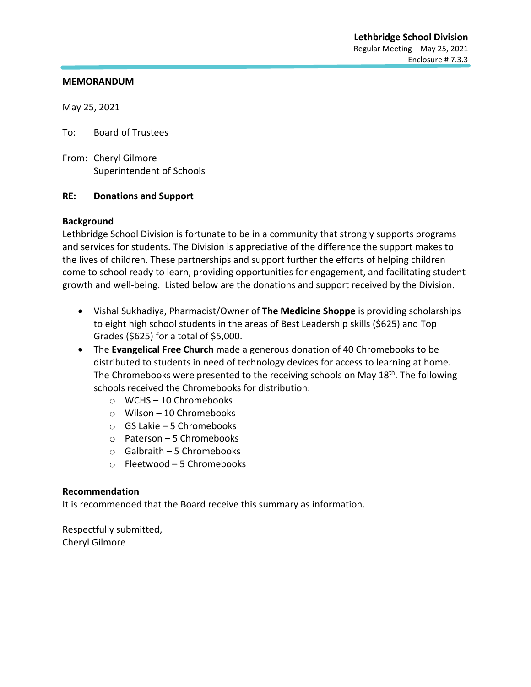May 25, 2021

To: Board of Trustees

From: Cheryl Gilmore Superintendent of Schools

#### **RE: Donations and Support**

#### **Background**

Lethbridge School Division is fortunate to be in a community that strongly supports programs and services for students. The Division is appreciative of the difference the support makes to the lives of children. These partnerships and support further the efforts of helping children come to school ready to learn, providing opportunities for engagement, and facilitating student growth and well-being. Listed below are the donations and support received by the Division.

- Vishal Sukhadiya, Pharmacist/Owner of **The Medicine Shoppe** is providing scholarships to eight high school students in the areas of Best Leadership skills (\$625) and Top Grades (\$625) for a total of \$5,000.
- The **Evangelical Free Church** made a generous donation of 40 Chromebooks to be distributed to students in need of technology devices for access to learning at home. The Chromebooks were presented to the receiving schools on May 18<sup>th</sup>. The following schools received the Chromebooks for distribution:
	- o WCHS 10 Chromebooks
	- o Wilson 10 Chromebooks
	- o GS Lakie 5 Chromebooks
	- o Paterson 5 Chromebooks
	- o Galbraith 5 Chromebooks
	- o Fleetwood 5 Chromebooks

#### **Recommendation**

It is recommended that the Board receive this summary as information.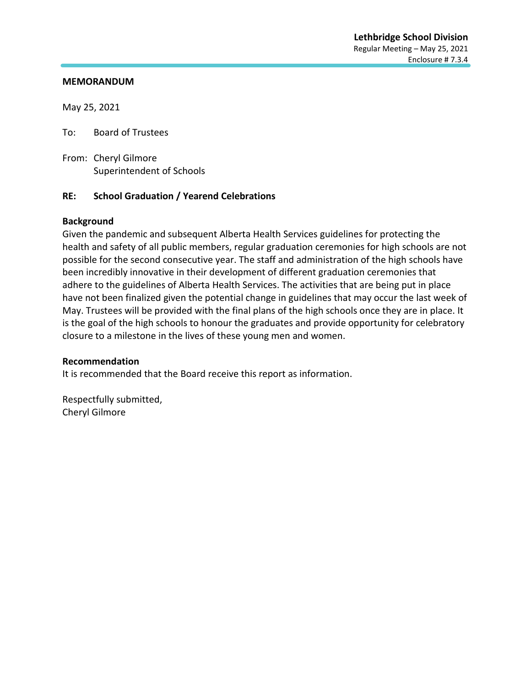May 25, 2021

To: Board of Trustees

From: Cheryl Gilmore Superintendent of Schools

#### **RE: School Graduation / Yearend Celebrations**

#### **Background**

Given the pandemic and subsequent Alberta Health Services guidelines for protecting the health and safety of all public members, regular graduation ceremonies for high schools are not possible for the second consecutive year. The staff and administration of the high schools have been incredibly innovative in their development of different graduation ceremonies that adhere to the guidelines of Alberta Health Services. The activities that are being put in place have not been finalized given the potential change in guidelines that may occur the last week of May. Trustees will be provided with the final plans of the high schools once they are in place. It is the goal of the high schools to honour the graduates and provide opportunity for celebratory closure to a milestone in the lives of these young men and women.

#### **Recommendation**

It is recommended that the Board receive this report as information.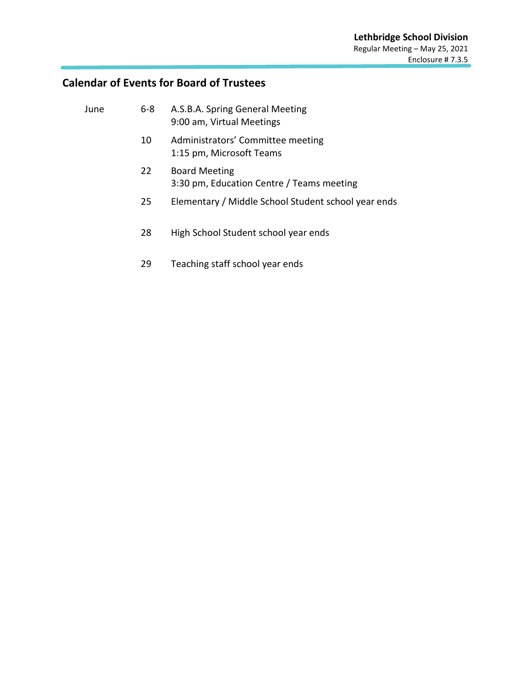# **Calendar of Events for Board of Trustees**

| June | $6 - 8$ | A.S.B.A. Spring General Meeting<br>9:00 am, Virtual Meetings      |
|------|---------|-------------------------------------------------------------------|
|      | 10      | Administrators' Committee meeting<br>1:15 pm, Microsoft Teams     |
|      | 22      | <b>Board Meeting</b><br>3:30 pm, Education Centre / Teams meeting |
|      | 25      | Elementary / Middle School Student school year ends               |
|      | 28      | High School Student school year ends                              |
|      |         |                                                                   |

29 Teaching staff school year ends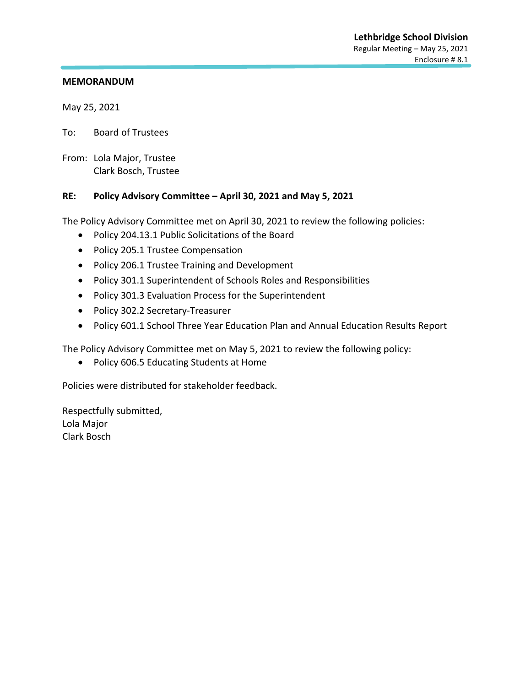May 25, 2021

To: Board of Trustees

From: Lola Major, Trustee Clark Bosch, Trustee

#### **RE: Policy Advisory Committee – April 30, 2021 and May 5, 2021**

The Policy Advisory Committee met on April 30, 2021 to review the following policies:

- Policy 204.13.1 Public Solicitations of the Board
- Policy 205.1 Trustee Compensation
- Policy 206.1 Trustee Training and Development
- Policy 301.1 Superintendent of Schools Roles and Responsibilities
- Policy 301.3 Evaluation Process for the Superintendent
- Policy 302.2 Secretary-Treasurer
- Policy 601.1 School Three Year Education Plan and Annual Education Results Report

The Policy Advisory Committee met on May 5, 2021 to review the following policy:

• Policy 606.5 Educating Students at Home

Policies were distributed for stakeholder feedback.

Respectfully submitted, Lola Major Clark Bosch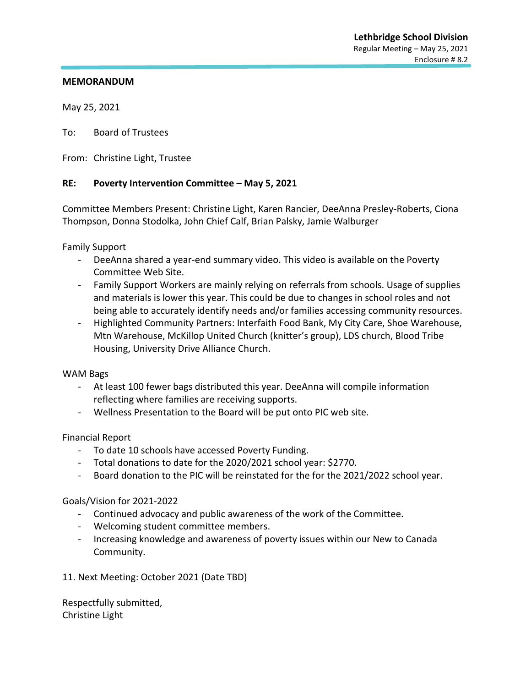May 25, 2021

To: Board of Trustees

From: Christine Light, Trustee

#### **RE: Poverty Intervention Committee – May 5, 2021**

Committee Members Present: Christine Light, Karen Rancier, DeeAnna Presley-Roberts, Ciona Thompson, Donna Stodolka, John Chief Calf, Brian Palsky, Jamie Walburger

Family Support

- DeeAnna shared a year-end summary video. This video is available on the Poverty Committee Web Site.
- Family Support Workers are mainly relying on referrals from schools. Usage of supplies and materials is lower this year. This could be due to changes in school roles and not being able to accurately identify needs and/or families accessing community resources.
- Highlighted Community Partners: Interfaith Food Bank, My City Care, Shoe Warehouse, Mtn Warehouse, McKillop United Church (knitter's group), LDS church, Blood Tribe Housing, University Drive Alliance Church.

#### WAM Bags

- At least 100 fewer bags distributed this year. DeeAnna will compile information reflecting where families are receiving supports.
- Wellness Presentation to the Board will be put onto PIC web site.

Financial Report

- To date 10 schools have accessed Poverty Funding.
- Total donations to date for the 2020/2021 school year: \$2770.
- Board donation to the PIC will be reinstated for the for the 2021/2022 school year.

#### Goals/Vision for 2021-2022

- Continued advocacy and public awareness of the work of the Committee.
- Welcoming student committee members.
- Increasing knowledge and awareness of poverty issues within our New to Canada Community.
- 11. Next Meeting: October 2021 (Date TBD)

Respectfully submitted, Christine Light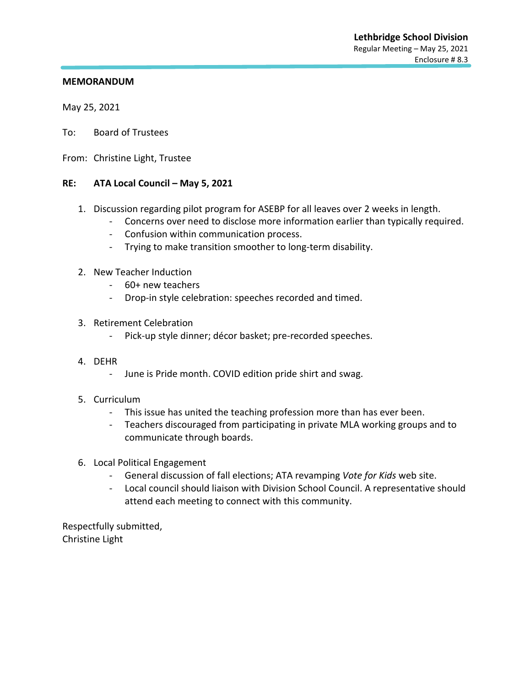May 25, 2021

- To: Board of Trustees
- From: Christine Light, Trustee

#### **RE: ATA Local Council – May 5, 2021**

- 1. Discussion regarding pilot program for ASEBP for all leaves over 2 weeks in length.
	- Concerns over need to disclose more information earlier than typically required.
	- Confusion within communication process.
	- Trying to make transition smoother to long-term disability.
- 2. New Teacher Induction
	- 60+ new teachers
	- Drop-in style celebration: speeches recorded and timed.
- 3. Retirement Celebration
	- Pick-up style dinner; décor basket; pre-recorded speeches.
- 4. DEHR
	- June is Pride month. COVID edition pride shirt and swag.
- 5. Curriculum
	- This issue has united the teaching profession more than has ever been.
	- Teachers discouraged from participating in private MLA working groups and to communicate through boards.
- 6. Local Political Engagement
	- General discussion of fall elections; ATA revamping *Vote for Kids* web site.
	- Local council should liaison with Division School Council. A representative should attend each meeting to connect with this community.

Respectfully submitted, Christine Light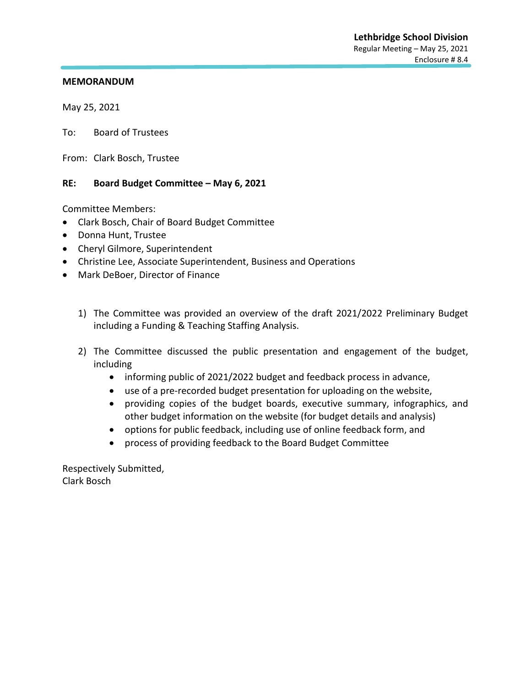May 25, 2021

To: Board of Trustees

From: Clark Bosch, Trustee

#### **RE: Board Budget Committee – May 6, 2021**

Committee Members:

- Clark Bosch, Chair of Board Budget Committee
- Donna Hunt, Trustee
- Cheryl Gilmore, Superintendent
- Christine Lee, Associate Superintendent, Business and Operations
- Mark DeBoer, Director of Finance
	- 1) The Committee was provided an overview of the draft 2021/2022 Preliminary Budget including a Funding & Teaching Staffing Analysis.
	- 2) The Committee discussed the public presentation and engagement of the budget, including
		- informing public of 2021/2022 budget and feedback process in advance,
		- use of a pre-recorded budget presentation for uploading on the website,
		- providing copies of the budget boards, executive summary, infographics, and other budget information on the website (for budget details and analysis)
		- options for public feedback, including use of online feedback form, and
		- process of providing feedback to the Board Budget Committee

Respectively Submitted, Clark Bosch